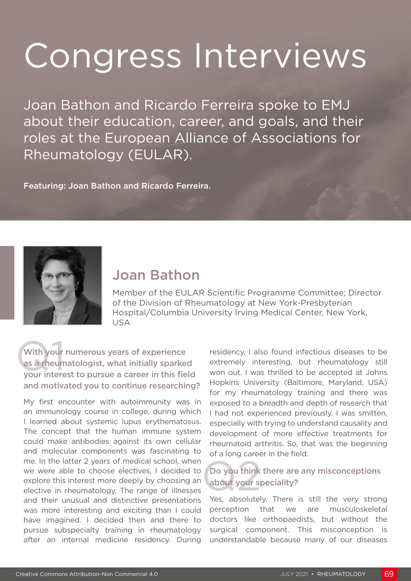# Congress Interviews

Joan Bathon and Ricardo Ferreira spoke to EMJ about their education, career, and goals, and their roles at the European Alliance of Associations for Rheumatology (EULAR).

Featuring: Joan Bathon and Ricardo Ferreira.



## Joan Bathon

Member of the EULAR Scientific Programme Committee; Director of the Division of Rheumatology at New York-Presbyterian Hospital/Columbia University Irving Medical Center, New York, USA

With your<br>as a rheun<br>your intere With your numerous years of experience as a rheumatologist, what initially sparked your interest to pursue a career in this field and motivated you to continue researching?

My first encounter with autoimmunity was in an immunology course in college, during which I learned about systemic lupus erythematosus. The concept that the human immune system could make antibodies against its own cellular and molecular components was fascinating to me. In the latter 2 years of medical school, when we were able to choose electives, I decided to explore this interest more deeply by choosing an elective in rheumatology. The range of illnesses and their unusual and distinctive presentations was more interesting and exciting than I could have imagined. I decided then and there to pursue subspecialty training in rheumatology after an internal medicine residency. During

residency, I also found infectious diseases to be extremely interesting, but rheumatology still won out. I was thrilled to be accepted at Johns Hopkins University (Baltimore, Maryland, USA) for my rheumatology training and there was exposed to a breadth and depth of research that I had not experienced previously. I was smitten, especially with trying to understand causality and development of more effective treatments for rheumatoid arthritis. So, that was the beginning of a long career in the field.

## Do you think<br>about your s Do you think there are any misconceptions about your speciality?

Yes, absolutely. There is still the very strong perception that we are musculoskeletal doctors like orthopaedists, but without the surgical component. This misconception is understandable because many of our diseases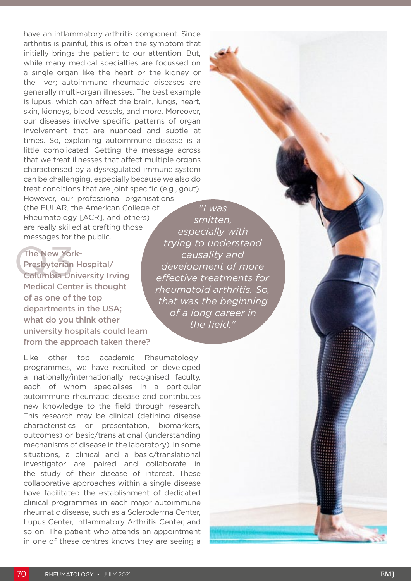*"I was*  have an inflammatory arthritis component. Since arthritis is painful, this is often the symptom that initially brings the patient to our attention. But, while many medical specialties are focussed on a single organ like the heart or the kidney or the liver; autoimmune rheumatic diseases are generally multi-organ illnesses. The best example is lupus, which can affect the brain, lungs, heart, skin, kidneys, blood vessels, and more. Moreover, our diseases involve specific patterns of organ involvement that are nuanced and subtle at times. So, explaining autoimmune disease is a little complicated. Getting the message across that we treat illnesses that affect multiple organs characterised by a dysregulated immune system can be challenging, especially because we also do treat conditions that are joint specific (e.g., gout). However, our professional organisations

(the EULAR, the American College of Rheumatology [ACR], and others) are really skilled at crafting those messages for the public.

The New Yor<br>Presbyterian<br>Columbia Un The New York-Presbyterian Hospital/ Columbia University Irving Medical Center is thought of as one of the top departments in the USA; what do you think other university hospitals could learn from the approach taken there?

Like other top academic Rheumatology programmes, we have recruited or developed a nationally/internationally recognised faculty, each of whom specialises in a particular autoimmune rheumatic disease and contributes new knowledge to the field through research. This research may be clinical (defining disease characteristics or presentation, biomarkers, outcomes) or basic/translational (understanding mechanisms of disease in the laboratory). In some situations, a clinical and a basic/translational investigator are paired and collaborate in the study of their disease of interest. These collaborative approaches within a single disease have facilitated the establishment of dedicated clinical programmes in each major autoimmune rheumatic disease, such as a Scleroderma Center, Lupus Center, Inflammatory Arthritis Center, and so on. The patient who attends an appointment in one of these centres knows they are seeing a

*smitten, especially with trying to understand causality and development of more effective treatments for rheumatoid arthritis. So, that was the beginning of a long career in the field."*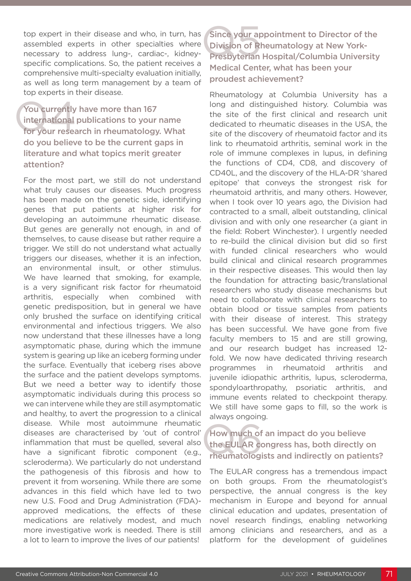top expert in their disease and who, in turn, has assembled experts in other specialties where necessary to address lung-, cardiac-, kidneyspecific complications. So, the patient receives a comprehensive multi-specialty evaluation initially, as well as long term management by a team of top experts in their disease.

You currently<br>international<br>for your resea You currently have more than 167 international publications to your name for your research in rheumatology. What do you believe to be the current gaps in literature and what topics merit greater attention?

For the most part, we still do not understand what truly causes our diseases. Much progress has been made on the genetic side, identifying genes that put patients at higher risk for developing an autoimmune rheumatic disease. But genes are generally not enough, in and of themselves, to cause disease but rather require a trigger. We still do not understand what actually triggers our diseases, whether it is an infection, an environmental insult, or other stimulus. We have learned that smoking, for example, is a very significant risk factor for rheumatoid arthritis, especially when combined with genetic predisposition, but in general we have only brushed the surface on identifying critical environmental and infectious triggers. We also now understand that these illnesses have a long asymptomatic phase, during which the immune system is gearing up like an iceberg forming under the surface. Eventually that iceberg rises above the surface and the patient develops symptoms. But we need a better way to identify those asymptomatic individuals during this process so we can intervene while they are still asymptomatic and healthy, to avert the progression to a clinical disease. While most autoimmune rheumatic diseases are characterised by 'out of control' inflammation that must be quelled, several also have a significant fibrotic component (e.g., scleroderma). We particularly do not understand the pathogenesis of this fibrosis and how to prevent it from worsening. While there are some advances in this field which have led to two new U.S. Food and Drug Administration (FDA) approved medications, the effects of these medications are relatively modest, and much more investigative work is needed. There is still a lot to learn to improve the lives of our patients!

Since your ap<br>Division of R<br>Presbyterian Since your appointment to Director of the Division of Rheumatology at New York-Presbyterian Hospital/Columbia University Medical Center, what has been your proudest achievement?

Rheumatology at Columbia University has a long and distinguished history. Columbia was the site of the first clinical and research unit dedicated to rheumatic diseases in the USA, the site of the discovery of rheumatoid factor and its link to rheumatoid arthritis, seminal work in the role of immune complexes in lupus, in defining the functions of CD4, CD8, and discovery of CD40L, and the discovery of the HLA-DR 'shared epitope' that conveys the strongest risk for rheumatoid arthritis, and many others. However, when I took over 10 years ago, the Division had contracted to a small, albeit outstanding, clinical division and with only one researcher (a giant in the field: Robert Winchester). I urgently needed to re-build the clinical division but did so first with funded clinical researchers who would build clinical and clinical research programmes in their respective diseases. This would then lay the foundation for attracting basic/translational researchers who study disease mechanisms but need to collaborate with clinical researchers to obtain blood or tissue samples from patients with their disease of interest. This strategy has been successful. We have gone from five faculty members to 15 and are still growing, and our research budget has increased 12 fold. We now have dedicated thriving research programmes in rheumatoid arthritis and juvenile idiopathic arthritis, lupus, scleroderma, spondyloarthropathy, psoriatic arthritis, and immune events related to checkpoint therapy. We still have some gaps to fill, so the work is always ongoing.

#### How much of<br>the EULAR complement<br>rheumatologi How much of an impact do you believe the EULAR congress has, both directly on rheumatologists and indirectly on patients?

The EULAR congress has a tremendous impact on both groups. From the rheumatologist's perspective, the annual congress is the key mechanism in Europe and beyond for annual clinical education and updates, presentation of novel research findings, enabling networking among clinicians and researchers, and as a platform for the development of guidelines